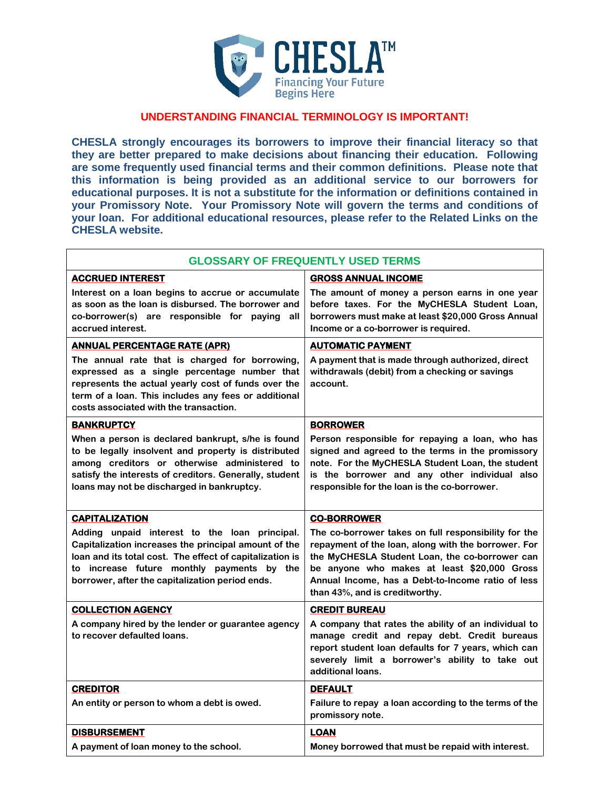

## **UNDERSTANDING FINANCIAL TERMINOLOGY IS IMPORTANT!**

**CHESLA strongly encourages its borrowers to improve their financial literacy so that they are better prepared to make decisions about financing their education. Following are some frequently used financial terms and their common definitions. Please note that this information is being provided as an additional service to our borrowers for educational purposes. It is not a substitute for the information or definitions contained in your Promissory Note. Your Promissory Note will govern the terms and conditions of your loan. For additional educational resources, please refer to the Related Links on the CHESLA website.**

| <b>GLOSSARY OF FREQUENTLY USED TERMS</b>                                                                                                                                                                                                                           |                                                                                                                                                                                                                                                                                                     |
|--------------------------------------------------------------------------------------------------------------------------------------------------------------------------------------------------------------------------------------------------------------------|-----------------------------------------------------------------------------------------------------------------------------------------------------------------------------------------------------------------------------------------------------------------------------------------------------|
| <b>ACCRUED INTEREST</b>                                                                                                                                                                                                                                            | <b>GROSS ANNUAL INCOME</b>                                                                                                                                                                                                                                                                          |
| Interest on a loan begins to accrue or accumulate<br>as soon as the loan is disbursed. The borrower and<br>co-borrower(s) are responsible for paying<br>all<br>accrued interest.                                                                                   | The amount of money a person earns in one year<br>before taxes. For the MyCHESLA Student Loan,<br>borrowers must make at least \$20,000 Gross Annual<br>Income or a co-borrower is required.                                                                                                        |
| <b>ANNUAL PERCENTAGE RATE (APR)</b>                                                                                                                                                                                                                                | <b>AUTOMATIC PAYMENT</b>                                                                                                                                                                                                                                                                            |
| The annual rate that is charged for borrowing,<br>expressed as a single percentage number that<br>represents the actual yearly cost of funds over the<br>term of a loan. This includes any fees or additional<br>costs associated with the transaction.            | A payment that is made through authorized, direct<br>withdrawals (debit) from a checking or savings<br>account.                                                                                                                                                                                     |
| <b>BANKRUPTCY</b>                                                                                                                                                                                                                                                  | <b>BORROWER</b>                                                                                                                                                                                                                                                                                     |
| When a person is declared bankrupt, s/he is found<br>to be legally insolvent and property is distributed<br>among creditors or otherwise administered to<br>satisfy the interests of creditors. Generally, student<br>loans may not be discharged in bankruptcy.   | Person responsible for repaying a loan, who has<br>signed and agreed to the terms in the promissory<br>note. For the MyCHESLA Student Loan, the student<br>is the borrower and any other individual also<br>responsible for the loan is the co-borrower.                                            |
| <b>CAPITALIZATION</b>                                                                                                                                                                                                                                              | <b>CO-BORROWER</b>                                                                                                                                                                                                                                                                                  |
| Adding unpaid interest to the loan principal.<br>Capitalization increases the principal amount of the<br>loan and its total cost. The effect of capitalization is<br>to increase future monthly payments by the<br>borrower, after the capitalization period ends. | The co-borrower takes on full responsibility for the<br>repayment of the loan, along with the borrower. For<br>the MyCHESLA Student Loan, the co-borrower can<br>be anyone who makes at least \$20,000 Gross<br>Annual Income, has a Debt-to-Income ratio of less<br>than 43%, and is creditworthy. |
| <b>COLLECTION AGENCY</b>                                                                                                                                                                                                                                           | <b>CREDIT BUREAU</b>                                                                                                                                                                                                                                                                                |
| A company hired by the lender or guarantee agency<br>to recover defaulted loans.                                                                                                                                                                                   | A company that rates the ability of an individual to<br>manage credit and repay debt. Credit bureaus<br>report student loan defaults for 7 years, which can<br>severely limit a borrower's ability to take out<br>additional loans.                                                                 |
| <b>CREDITOR</b>                                                                                                                                                                                                                                                    | <b>DEFAULT</b>                                                                                                                                                                                                                                                                                      |
| An entity or person to whom a debt is owed.                                                                                                                                                                                                                        | Failure to repay a loan according to the terms of the<br>promissory note.                                                                                                                                                                                                                           |
| <b>DISBURSEMENT</b>                                                                                                                                                                                                                                                | <b>LOAN</b>                                                                                                                                                                                                                                                                                         |
| A payment of loan money to the school.                                                                                                                                                                                                                             | Money borrowed that must be repaid with interest.                                                                                                                                                                                                                                                   |